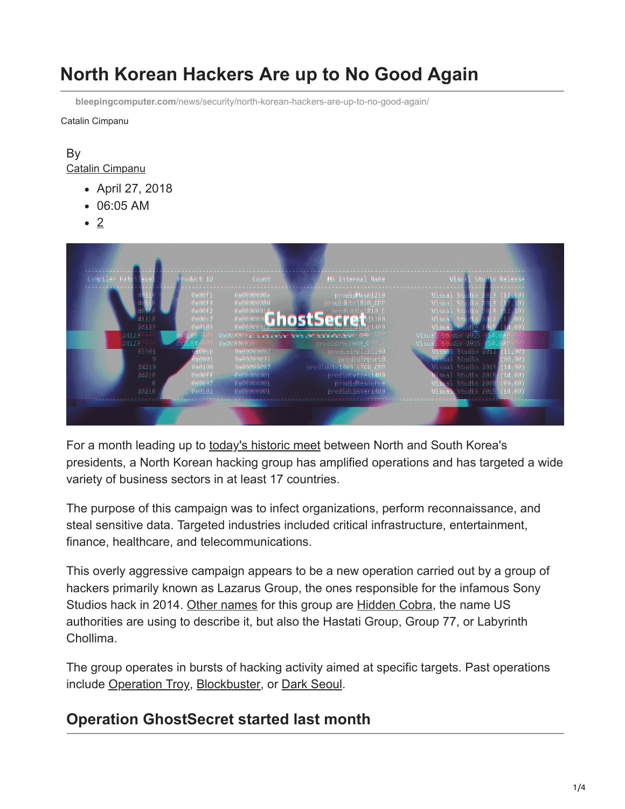# **North Korean Hackers Are up to No Good Again**

**bleepingcomputer.com**[/news/security/north-korean-hackers-are-up-to-no-good-again/](https://www.bleepingcomputer.com/news/security/north-korean-hackers-are-up-to-no-good-again/)

Catalin Cimpanu

#### By [Catalin Cimpanu](https://www.bleepingcomputer.com/author/catalin-cimpanu/)

- April 27, 2018
- 06:05 AM
- 2



For a month leading up to [today's historic meet](http://abcnews.go.com/International/north-koreas-kim-jong-crosses-dmz-historic-meeting/story?id=54759591) between North and South Korea's presidents, a North Korean hacking group has amplified operations and has targeted a wide variety of business sectors in at least 17 countries.

The purpose of this campaign was to infect organizations, perform reconnaissance, and steal sensitive data. Targeted industries included critical infrastructure, entertainment, finance, healthcare, and telecommunications.

This overly aggressive campaign appears to be a new operation carried out by a group of hackers primarily known as Lazarus Group, the ones responsible for the infamous Sony Studios hack in 2014. [Other names](https://docs.google.com/spreadsheets/d/1H9_xaxQHpWaa4O_Son4Gx0YOIzlcBWMsdvePFX68EKU/pubhtml) for this group are [Hidden Cobra,](https://www.bleepingcomputer.com/news/security/dhs-and-fbi-publish-details-on-deltacharlie-north-koreas-ddos-botnet/) the name US authorities are using to describe it, but also the Hastati Group, Group 77, or Labyrinth Chollima.

The group operates in bursts of hacking activity aimed at specific targets. Past operations include [Operation Troy,](https://cyber-peace.org/wp-content/uploads/2013/07/wp-operation-troy.pdf) [Blockbuster](https://www.operationblockbuster.com/wp-content/uploads/2016/02/Operation-Blockbuster-Report.pdf), or [Dark Seoul](https://researchcenter.paloaltonetworks.com/2015/11/tdrop2-attacks-suggest-dark-seoul-attackers-return/).

# **Operation GhostSecret started last month**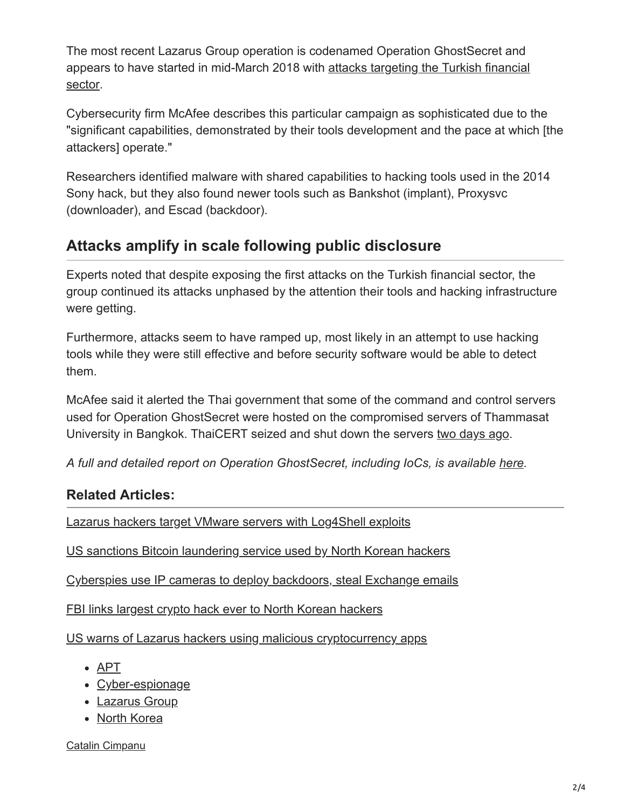The most recent Lazarus Group operation is codenamed Operation GhostSecret and [appears to have started in mid-March 2018 with attacks targeting the Turkish financial](https://securingtomorrow.mcafee.com/mcafee-labs/hidden-cobra-targets-turkish-financial-sector-new-bankshot-implant/) sector.

Cybersecurity firm McAfee describes this particular campaign as sophisticated due to the "significant capabilities, demonstrated by their tools development and the pace at which [the attackers] operate."

Researchers identified malware with shared capabilities to hacking tools used in the 2014 Sony hack, but they also found newer tools such as Bankshot (implant), Proxysvc (downloader), and Escad (backdoor).

## **Attacks amplify in scale following public disclosure**

Experts noted that despite exposing the first attacks on the Turkish financial sector, the group continued its attacks unphased by the attention their tools and hacking infrastructure were getting.

Furthermore, attacks seem to have ramped up, most likely in an attempt to use hacking tools while they were still effective and before security software would be able to detect them.

McAfee said it alerted the Thai government that some of the command and control servers used for Operation GhostSecret were hosted on the compromised servers of Thammasat University in Bangkok. ThaiCERT seized and shut down the servers [two days ago.](https://www.thaicert.or.th/alerts/admin/2018/al2018ad001.html)

*A full and detailed report on Operation GhostSecret, including IoCs, is available [here](https://securingtomorrow.mcafee.com/mcafee-labs/analyzing-operation-ghostsecret-attack-seeks-to-steal-data-worldwide/).*

### **Related Articles:**

[Lazarus hackers target VMware servers with Log4Shell exploits](https://www.bleepingcomputer.com/news/security/lazarus-hackers-target-vmware-servers-with-log4shell-exploits/)

[US sanctions Bitcoin laundering service used by North Korean hackers](https://www.bleepingcomputer.com/news/security/us-sanctions-bitcoin-laundering-service-used-by-north-korean-hackers/)

[Cyberspies use IP cameras to deploy backdoors, steal Exchange emails](https://www.bleepingcomputer.com/news/security/cyberspies-use-ip-cameras-to-deploy-backdoors-steal-exchange-emails/)

[FBI links largest crypto hack ever to North Korean hackers](https://www.bleepingcomputer.com/news/security/fbi-links-largest-crypto-hack-ever-to-north-korean-hackers/)

[US warns of Lazarus hackers using malicious cryptocurrency apps](https://www.bleepingcomputer.com/news/security/us-warns-of-lazarus-hackers-using-malicious-cryptocurrency-apps/)

- [APT](https://www.bleepingcomputer.com/tag/apt/)
- [Cyber-espionage](https://www.bleepingcomputer.com/tag/cyber-espionage/)
- [Lazarus Group](https://www.bleepingcomputer.com/tag/lazarus-group/)
- [North Korea](https://www.bleepingcomputer.com/tag/north-korea/)

[Catalin Cimpanu](https://www.bleepingcomputer.com/author/catalin-cimpanu/)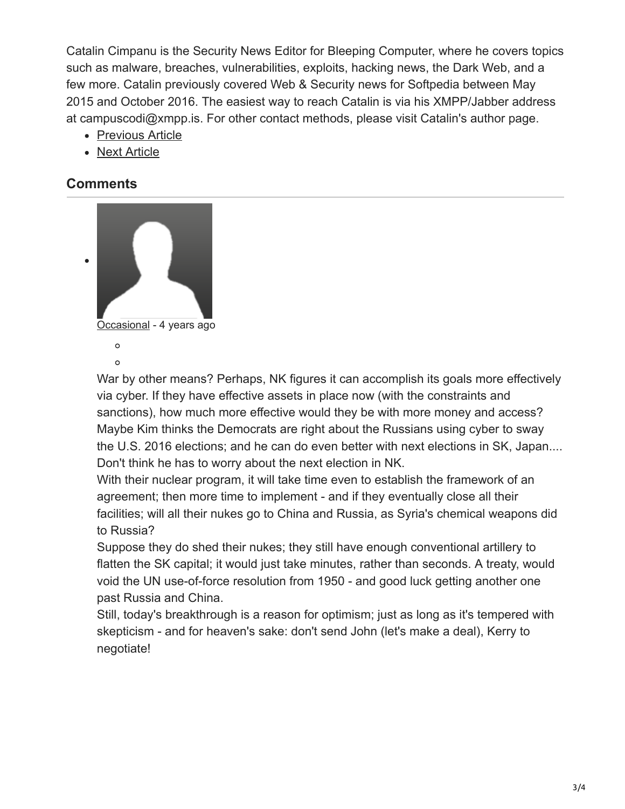Catalin Cimpanu is the Security News Editor for Bleeping Computer, where he covers topics such as malware, breaches, vulnerabilities, exploits, hacking news, the Dark Web, and a few more. Catalin previously covered Web & Security news for Softpedia between May 2015 and October 2016. The easiest way to reach Catalin is via his XMPP/Jabber address at campuscodi@xmpp.is. For other contact methods, please visit Catalin's author page.

- [Previous Article](https://www.bleepingcomputer.com/news/security/worlds-largest-spam-botnet-finds-a-new-way-to-avoid-detection-for-now/)
- [Next Article](https://www.bleepingcomputer.com/offer/deals/get-96-percent-off-the-itil-certification-training-bundle-deal/)

#### **Comments**



War by other means? Perhaps, NK figures it can accomplish its goals more effectively via cyber. If they have effective assets in place now (with the constraints and sanctions), how much more effective would they be with more money and access? Maybe Kim thinks the Democrats are right about the Russians using cyber to sway the U.S. 2016 elections; and he can do even better with next elections in SK, Japan.... Don't think he has to worry about the next election in NK.

With their nuclear program, it will take time even to establish the framework of an agreement; then more time to implement - and if they eventually close all their facilities; will all their nukes go to China and Russia, as Syria's chemical weapons did to Russia?

Suppose they do shed their nukes; they still have enough conventional artillery to flatten the SK capital; it would just take minutes, rather than seconds. A treaty, would void the UN use-of-force resolution from 1950 - and good luck getting another one past Russia and China.

Still, today's breakthrough is a reason for optimism; just as long as it's tempered with skepticism - and for heaven's sake: don't send John (let's make a deal), Kerry to negotiate!